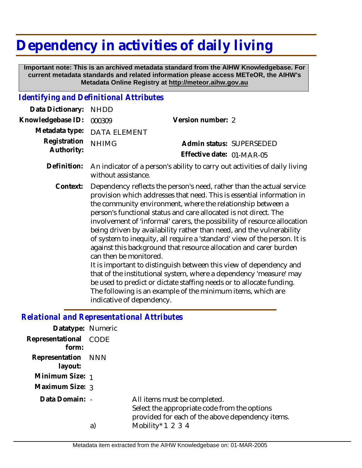## **Dependency in activities of daily living**

 **Important note: This is an archived metadata standard from the AIHW Knowledgebase. For current metadata standards and related information please access METeOR, the AIHW's Metadata Online Registry at http://meteor.aihw.gov.au**

## *Identifying and Definitional Attributes*

| Data Dictionary:           | <b>NHDD</b>                                                                                                                                                                                                                                                                                                                                                                                                                                                                                                                                                                                                                                                                                                                                                                                                                                                                                                                       |                           |
|----------------------------|-----------------------------------------------------------------------------------------------------------------------------------------------------------------------------------------------------------------------------------------------------------------------------------------------------------------------------------------------------------------------------------------------------------------------------------------------------------------------------------------------------------------------------------------------------------------------------------------------------------------------------------------------------------------------------------------------------------------------------------------------------------------------------------------------------------------------------------------------------------------------------------------------------------------------------------|---------------------------|
| Knowledgebase ID:          | 000309                                                                                                                                                                                                                                                                                                                                                                                                                                                                                                                                                                                                                                                                                                                                                                                                                                                                                                                            | Version number: 2         |
| Metadata type:             | <b>DATA ELEMENT</b>                                                                                                                                                                                                                                                                                                                                                                                                                                                                                                                                                                                                                                                                                                                                                                                                                                                                                                               |                           |
| Registration<br>Authority: | <b>NHIMG</b>                                                                                                                                                                                                                                                                                                                                                                                                                                                                                                                                                                                                                                                                                                                                                                                                                                                                                                                      | Admin status: SUPERSEDED  |
|                            |                                                                                                                                                                                                                                                                                                                                                                                                                                                                                                                                                                                                                                                                                                                                                                                                                                                                                                                                   | Effective date: 01-MAR-05 |
| Definition:                | An indicator of a person's ability to carry out activities of daily living<br>without assistance.                                                                                                                                                                                                                                                                                                                                                                                                                                                                                                                                                                                                                                                                                                                                                                                                                                 |                           |
| Context:                   | Dependency reflects the person's need, rather than the actual service<br>provision which addresses that need. This is essential information in<br>the community environment, where the relationship between a<br>person's functional status and care allocated is not direct. The<br>involvement of 'informal' carers, the possibility of resource allocation<br>being driven by availability rather than need, and the vulnerability<br>of system to inequity, all require a 'standard' view of the person. It is<br>against this background that resource allocation and carer burden<br>can then be monitored.<br>It is important to distinguish between this view of dependency and<br>that of the institutional system, where a dependency 'measure' may<br>be used to predict or dictate staffing needs or to allocate funding.<br>The following is an example of the minimum items, which are<br>indicative of dependency. |                           |
|                            |                                                                                                                                                                                                                                                                                                                                                                                                                                                                                                                                                                                                                                                                                                                                                                                                                                                                                                                                   |                           |

## *Relational and Representational Attributes*

| Datatype: Numeric             |             |                                                                                                                                  |
|-------------------------------|-------------|----------------------------------------------------------------------------------------------------------------------------------|
| Representational<br>form:     | <b>CODE</b> |                                                                                                                                  |
| Representation NNN<br>layout: |             |                                                                                                                                  |
| Minimum Size: 1               |             |                                                                                                                                  |
| Maximum Size: 3               |             |                                                                                                                                  |
| Data Domain: -                |             | All items must be completed.<br>Select the appropriate code from the options<br>provided for each of the above dependency items. |
|                               | a)          | Mobility* $1\ 2\ 3\ 4$                                                                                                           |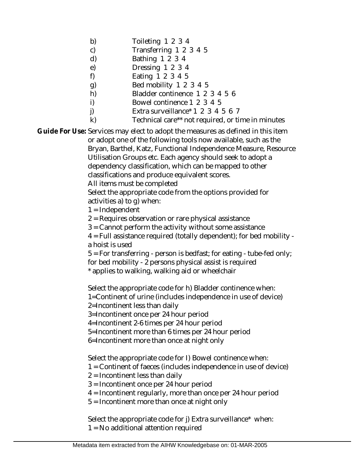- b) Toileting 1 2 3 4
- c) Transferring 1 2 3 4 5
- d) Bathing 1 2 3 4
- e) Dressing 1 2 3 4
- f) Eating 1 2 3 4 5
- g) Bed mobility 1 2 3 4 5
- h) Bladder continence 1 2 3 4 5 6
- i) Bowel continence 1 2 3 4 5
- j) Extra surveillance<sup>\*</sup> 1 2 3 4 5 6 7
- k) Technical care\*\* not required, or time in minutes

Guide For Use: Services may elect to adopt the measures as defined in this item

or adopt one of the following tools now available, such as the Bryan, Barthel, Katz, Functional Independence Measure, Resource Utilisation Groups etc. Each agency should seek to adopt a dependency classification, which can be mapped to other classifications and produce equivalent scores.

All items must be completed

Select the appropriate code from the options provided for activities a) to g) when:

 $1 = Independent$ 

2 = Requires observation or rare physical assistance

3 = Cannot perform the activity without some assistance

4 = Full assistance required (totally dependent); for bed mobility a hoist is used

 $5$  = For transferring - person is bedfast; for eating - tube-fed only; for bed mobility - 2 persons physical assist is required

\* applies to walking, walking aid or wheelchair

Select the appropriate code for h) Bladder continence when:

1=Continent of urine (includes independence in use of device)

2=Incontinent less than daily

3=Incontinent once per 24 hour period

4=Incontinent 2-6 times per 24 hour period

5=Incontinent more than 6 times per 24 hour period

6=Incontinent more than once at night only

Select the appropriate code for I) Bowel continence when:

- 1 = Continent of faeces (includes independence in use of device)
- 2 = Incontinent less than daily
- 3 = Incontinent once per 24 hour period
- 4 = Incontinent regularly, more than once per 24 hour period
- 5 = Incontinent more than once at night only

Select the appropriate code for j) Extra surveillance\* when: 1 = No additional attention required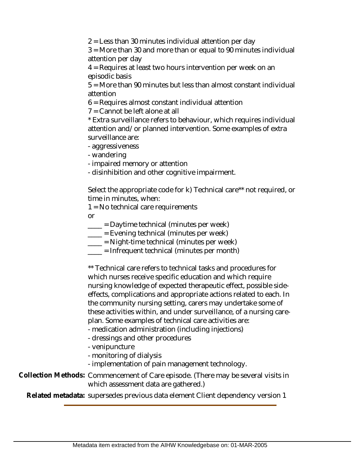2 = Less than 30 minutes individual attention per day

3 = More than 30 and more than or equal to 90 minutes individual attention per day

4 = Requires at least two hours intervention per week on an episodic basis

5 = More than 90 minutes but less than almost constant individual attention

6 = Requires almost constant individual attention

7 = Cannot be left alone at all

\* Extra surveillance refers to behaviour, which requires individual attention and/or planned intervention. Some examples of extra surveillance are:

- aggressiveness

- wandering

- impaired memory or attention

- disinhibition and other cognitive impairment.

Select the appropriate code for k) Technical care\*\* not required, or time in minutes, when:

1 = No technical care requirements

or

\_\_\_\_ = Daytime technical (minutes per week)

 $\frac{1}{1}$  = Evening technical (minutes per week)

\_\_\_\_ = Night-time technical (minutes per week)

 $\frac{1}{\sqrt{1-\frac{1}{\sqrt{1-\frac{1}{\sqrt{1-\frac{1}{\sqrt{1-\frac{1}{\sqrt{1-\frac{1}{\sqrt{1-\frac{1}{\sqrt{1-\frac{1}{\sqrt{1-\frac{1}{\sqrt{1-\frac{1}{\sqrt{1-\frac{1}{\sqrt{1-\frac{1}{\sqrt{1-\frac{1}{\sqrt{1-\frac{1}{\sqrt{1-\frac{1}{\sqrt{1-\frac{1}{\sqrt{1-\frac{1}{\sqrt{1-\frac{1}{\sqrt{1-\frac{1}{\sqrt{1-\frac{1}{\sqrt{1-\frac{1}{\sqrt{1-\frac{1}{\sqrt{1-\frac{1}{\sqrt{1-\frac{1}{\sqrt{1-\frac{1$ 

\*\* Technical care refers to technical tasks and procedures for which nurses receive specific education and which require nursing knowledge of expected therapeutic effect, possible sideeffects, complications and appropriate actions related to each. In the community nursing setting, carers may undertake some of these activities within, and under surveillance, of a nursing careplan. Some examples of technical care activities are:

- medication administration (including injections)

- dressings and other procedures

- venipuncture

- monitoring of dialysis

- implementation of pain management technology.

Collection Methods: Commencement of Care episode. (There may be several visits in which assessment data are gathered.)

**Related metadata:** supersedes previous data element Client dependency version 1